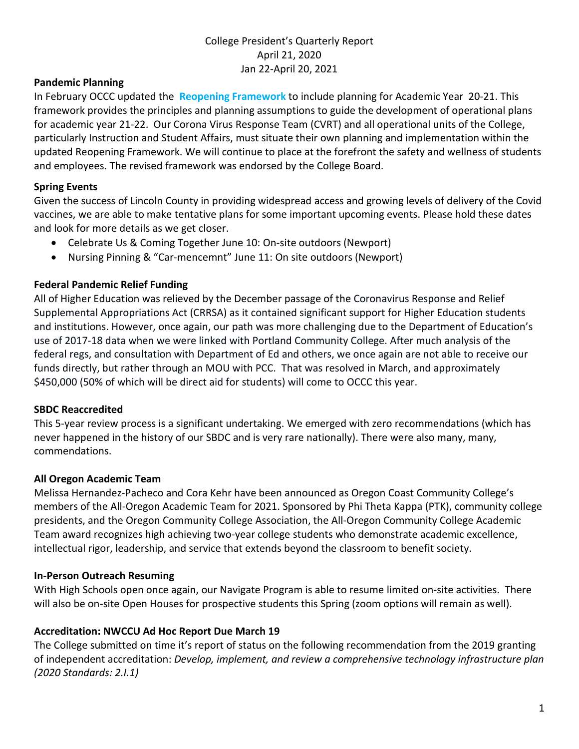# College President's Quarterly Report April 21, 2020 Jan 22-April 20, 2021

### **Pandemic Planning**

In February OCCC updated the **[Reopening Framework](https://oregoncoast.edu/college-coronavirus-response-f2020/)** to include planning for Academic Year 20-21. This framework provides the principles and planning assumptions to guide the development of operational plans for academic year 21-22. Our Corona Virus Response Team (CVRT) and all operational units of the College, particularly Instruction and Student Affairs, must situate their own planning and implementation within the updated Reopening Framework. We will continue to place at the forefront the safety and wellness of students and employees. The revised framework was endorsed by the College Board.

### **Spring Events**

Given the success of Lincoln County in providing widespread access and growing levels of delivery of the Covid vaccines, we are able to make tentative plans for some important upcoming events. Please hold these dates and look for more details as we get closer.

- Celebrate Us & Coming Together June 10: On-site outdoors (Newport)
- Nursing Pinning & "Car-mencemnt" June 11: On site outdoors (Newport)

### **Federal Pandemic Relief Funding**

All of Higher Education was relieved by the December passage of the Coronavirus Response and Relief Supplemental Appropriations Act (CRRSA) as it contained significant support for Higher Education students and institutions. However, once again, our path was more challenging due to the Department of Education's use of 2017-18 data when we were linked with Portland Community College. After much analysis of the federal regs, and consultation with Department of Ed and others, we once again are not able to receive our funds directly, but rather through an MOU with PCC. That was resolved in March, and approximately \$450,000 (50% of which will be direct aid for students) will come to OCCC this year.

#### **SBDC Reaccredited**

This 5-year review process is a significant undertaking. We emerged with zero recommendations (which has never happened in the history of our SBDC and is very rare nationally). There were also many, many, commendations.

## **All Oregon Academic Team**

Melissa Hernandez-Pacheco and Cora Kehr have been announced as Oregon Coast Community College's members of the All-Oregon Academic Team for 2021. Sponsored by Phi Theta Kappa (PTK), community college presidents, and the Oregon Community College Association, the All-Oregon Community College Academic Team award recognizes high achieving two-year college students who demonstrate academic excellence, intellectual rigor, leadership, and service that extends beyond the classroom to benefit society.

#### **In-Person Outreach Resuming**

With High Schools open once again, our Navigate Program is able to resume limited on-site activities. There will also be on-site Open Houses for prospective students this Spring (zoom options will remain as well).

#### **Accreditation: NWCCU Ad Hoc Report Due March 19**

The College submitted on time it's report of status on the following recommendation from the 2019 granting of independent accreditation: *Develop, implement, and review a comprehensive technology infrastructure plan (2020 Standards: 2.I.1)*